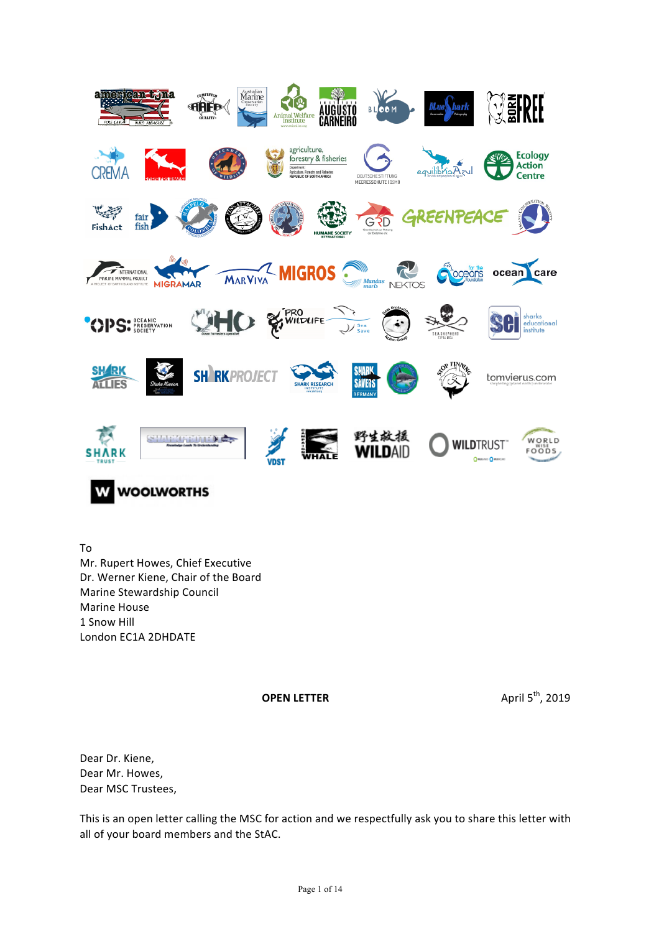

To Mr. Rupert Howes, Chief Executive Dr. Werner Kiene, Chair of the Board Marine Stewardship Council **Marine House** 1 Snow Hill London EC1A 2DHDATE

**OPEN LETTER** April 5<sup>th</sup>, 2019

Dear Dr. Kiene. Dear Mr. Howes, Dear MSC Trustees,

This is an open letter calling the MSC for action and we respectfully ask you to share this letter with all of your board members and the StAC.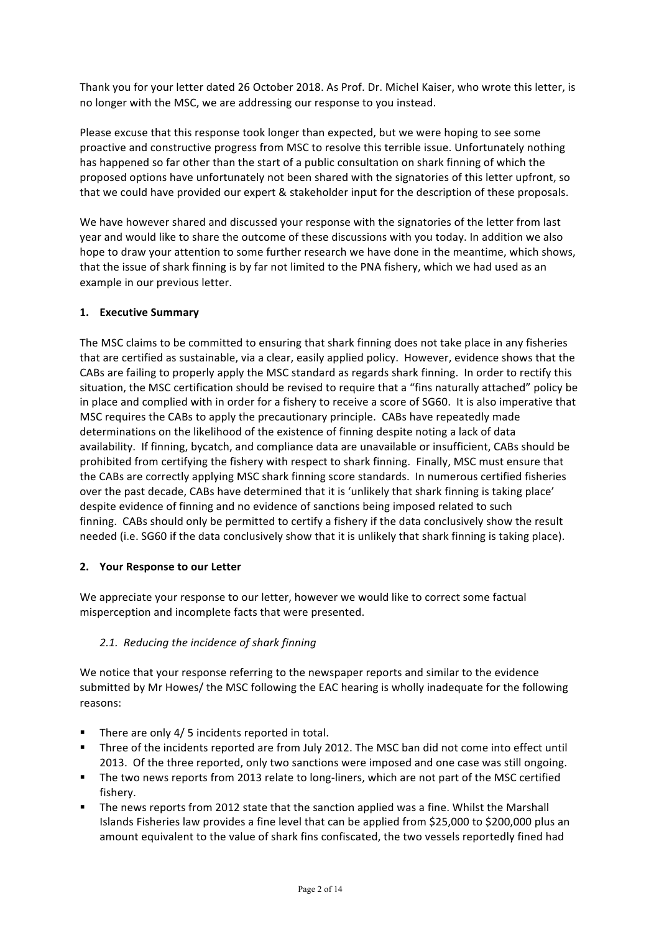Thank you for your letter dated 26 October 2018. As Prof. Dr. Michel Kaiser, who wrote this letter, is no longer with the MSC, we are addressing our response to you instead.

Please excuse that this response took longer than expected, but we were hoping to see some proactive and constructive progress from MSC to resolve this terrible issue. Unfortunately nothing has happened so far other than the start of a public consultation on shark finning of which the proposed options have unfortunately not been shared with the signatories of this letter upfront, so that we could have provided our expert & stakeholder input for the description of these proposals.

We have however shared and discussed your response with the signatories of the letter from last year and would like to share the outcome of these discussions with you today. In addition we also hope to draw your attention to some further research we have done in the meantime, which shows, that the issue of shark finning is by far not limited to the PNA fishery, which we had used as an example in our previous letter.

## **1. Executive Summary**

The MSC claims to be committed to ensuring that shark finning does not take place in any fisheries that are certified as sustainable, via a clear, easily applied policy. However, evidence shows that the CABs are failing to properly apply the MSC standard as regards shark finning. In order to rectify this situation, the MSC certification should be revised to require that a "fins naturally attached" policy be in place and complied with in order for a fishery to receive a score of SG60. It is also imperative that MSC requires the CABs to apply the precautionary principle. CABs have repeatedly made determinations on the likelihood of the existence of finning despite noting a lack of data availability. If finning, bycatch, and compliance data are unavailable or insufficient, CABs should be prohibited from certifying the fishery with respect to shark finning. Finally, MSC must ensure that the CABs are correctly applying MSC shark finning score standards. In numerous certified fisheries over the past decade, CABs have determined that it is 'unlikely that shark finning is taking place' despite evidence of finning and no evidence of sanctions being imposed related to such finning. CABs should only be permitted to certify a fishery if the data conclusively show the result needed (i.e. SG60 if the data conclusively show that it is unlikely that shark finning is taking place).

### **2. Your Response to our Letter**

We appreciate your response to our letter, however we would like to correct some factual misperception and incomplete facts that were presented.

### 2.1. Reducing the incidence of shark finning

We notice that your response referring to the newspaper reports and similar to the evidence submitted by Mr Howes/ the MSC following the EAC hearing is wholly inadequate for the following reasons:

- There are only  $4/5$  incidents reported in total.
- Three of the incidents reported are from July 2012. The MSC ban did not come into effect until 2013. Of the three reported, only two sanctions were imposed and one case was still ongoing.
- The two news reports from 2013 relate to long-liners, which are not part of the MSC certified fishery.
- The news reports from 2012 state that the sanction applied was a fine. Whilst the Marshall Islands Fisheries law provides a fine level that can be applied from \$25,000 to \$200,000 plus an amount equivalent to the value of shark fins confiscated, the two vessels reportedly fined had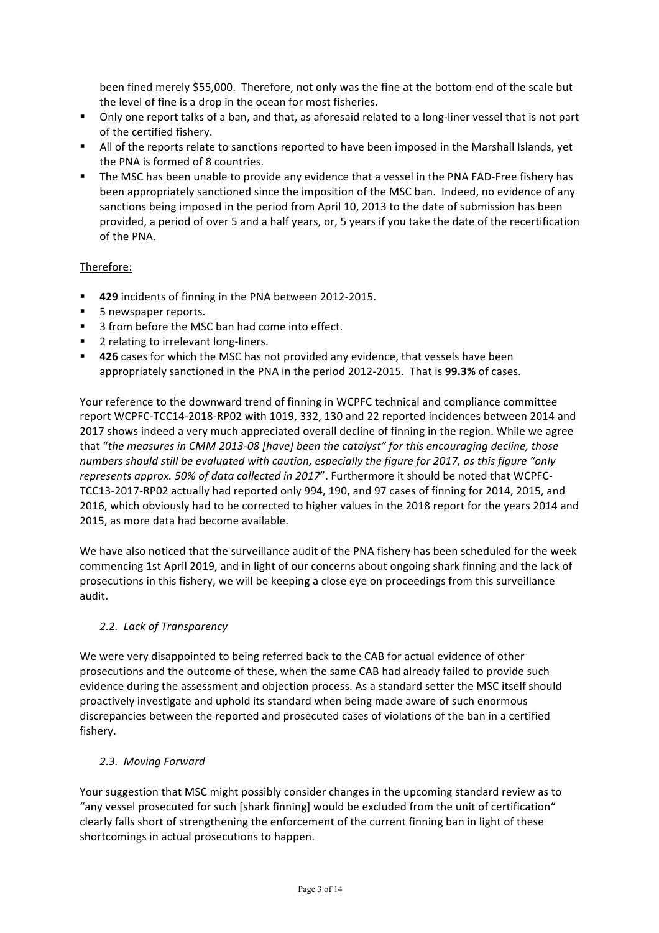been fined merely \$55,000. Therefore, not only was the fine at the bottom end of the scale but the level of fine is a drop in the ocean for most fisheries.

- Only one report talks of a ban, and that, as aforesaid related to a long-liner vessel that is not part of the certified fishery.
- All of the reports relate to sanctions reported to have been imposed in the Marshall Islands, yet the PNA is formed of 8 countries.
- **•** The MSC has been unable to provide any evidence that a vessel in the PNA FAD-Free fishery has been appropriately sanctioned since the imposition of the MSC ban. Indeed, no evidence of any sanctions being imposed in the period from April 10, 2013 to the date of submission has been provided, a period of over 5 and a half years, or, 5 years if you take the date of the recertification of the PNA.

## Therefore:

- 429 incidents of finning in the PNA between 2012-2015.
- 5 newspaper reports.
- 3 from before the MSC ban had come into effect.
- 2 relating to irrelevant long-liners.
- 426 cases for which the MSC has not provided any evidence, that vessels have been appropriately sanctioned in the PNA in the period 2012-2015. That is **99.3%** of cases.

Your reference to the downward trend of finning in WCPFC technical and compliance committee report WCPFC-TCC14-2018-RP02 with 1019, 332, 130 and 22 reported incidences between 2014 and 2017 shows indeed a very much appreciated overall decline of finning in the region. While we agree that "the measures in CMM 2013-08 [have] been the catalyst" for this encouraging decline, those numbers should still be evaluated with caution, especially the figure for 2017, as this figure "only represents approx. 50% of data collected in 2017". Furthermore it should be noted that WCPFC-TCC13-2017-RP02 actually had reported only 994, 190, and 97 cases of finning for 2014, 2015, and 2016, which obviously had to be corrected to higher values in the 2018 report for the years 2014 and 2015, as more data had become available.

We have also noticed that the surveillance audit of the PNA fishery has been scheduled for the week commencing 1st April 2019, and in light of our concerns about ongoing shark finning and the lack of prosecutions in this fishery, we will be keeping a close eye on proceedings from this surveillance audit. 

### *2.2. Lack of Transparency*

We were very disappointed to being referred back to the CAB for actual evidence of other prosecutions and the outcome of these, when the same CAB had already failed to provide such evidence during the assessment and objection process. As a standard setter the MSC itself should proactively investigate and uphold its standard when being made aware of such enormous discrepancies between the reported and prosecuted cases of violations of the ban in a certified fishery.

### *2.3. Moving Forward*

Your suggestion that MSC might possibly consider changes in the upcoming standard review as to "any vessel prosecuted for such [shark finning] would be excluded from the unit of certification" clearly falls short of strengthening the enforcement of the current finning ban in light of these shortcomings in actual prosecutions to happen.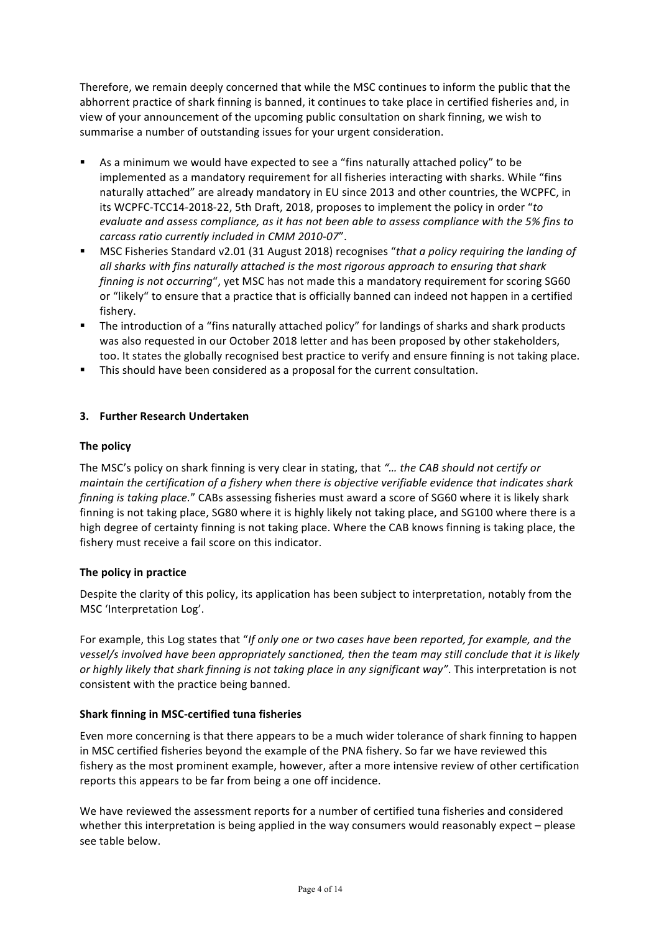Therefore, we remain deeply concerned that while the MSC continues to inform the public that the abhorrent practice of shark finning is banned, it continues to take place in certified fisheries and, in view of your announcement of the upcoming public consultation on shark finning, we wish to summarise a number of outstanding issues for your urgent consideration.

- As a minimum we would have expected to see a "fins naturally attached policy" to be implemented as a mandatory requirement for all fisheries interacting with sharks. While "fins naturally attached" are already mandatory in EU since 2013 and other countries, the WCPFC, in its WCPFC-TCC14-2018-22, 5th Draft, 2018, proposes to implement the policy in order "*to evaluate and assess compliance, as it has not been able to assess compliance with the 5% fins to carcass ratio currently included in CMM 2010-07*".
- **MSC Fisheries Standard v2.01 (31 August 2018) recognises "that a policy requiring the landing of** *all* sharks with fins naturally attached is the most rigorous approach to ensuring that shark *finning is not occurring*", yet MSC has not made this a mandatory requirement for scoring SG60 or "likely" to ensure that a practice that is officially banned can indeed not happen in a certified fishery.
- The introduction of a "fins naturally attached policy" for landings of sharks and shark products was also requested in our October 2018 letter and has been proposed by other stakeholders, too. It states the globally recognised best practice to verify and ensure finning is not taking place.
- **•** This should have been considered as a proposal for the current consultation.

## **3. Further Research Undertaken**

### **The policy**

The MSC's policy on shark finning is very clear in stating, that "... the CAB should not certify or *maintain* the certification of a fishery when there is objective verifiable evidence that indicates shark *finning is taking place."* CABs assessing fisheries must award a score of SG60 where it is likely shark finning is not taking place, SG80 where it is highly likely not taking place, and SG100 where there is a high degree of certainty finning is not taking place. Where the CAB knows finning is taking place, the fishery must receive a fail score on this indicator.

### **The policy in practice**

Despite the clarity of this policy, its application has been subject to interpretation, notably from the MSC 'Interpretation Log'.

For example, this Log states that "If only one or two cases have been reported, for example, and the *vessel/s* involved have been appropriately sanctioned, then the team may still conclude that it is likely or highly likely that shark finning is not taking place in any significant way". This interpretation is not consistent with the practice being banned.

### **Shark finning in MSC-certified tuna fisheries**

Even more concerning is that there appears to be a much wider tolerance of shark finning to happen in MSC certified fisheries beyond the example of the PNA fishery. So far we have reviewed this fishery as the most prominent example, however, after a more intensive review of other certification reports this appears to be far from being a one off incidence.

We have reviewed the assessment reports for a number of certified tuna fisheries and considered whether this interpretation is being applied in the way consumers would reasonably expect  $-$  please see table below.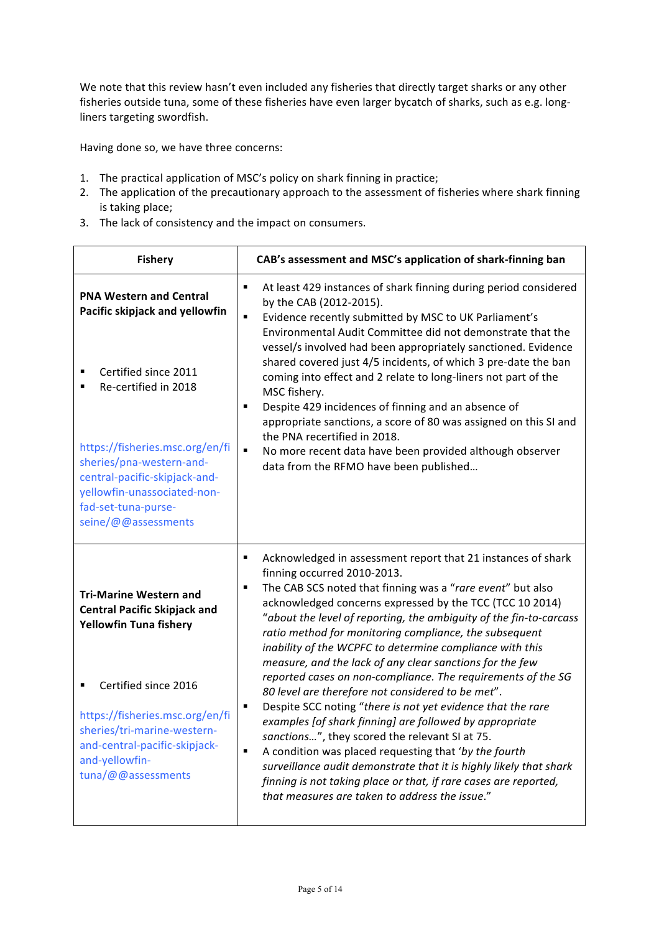We note that this review hasn't even included any fisheries that directly target sharks or any other fisheries outside tuna, some of these fisheries have even larger bycatch of sharks, such as e.g. longliners targeting swordfish.

Having done so, we have three concerns:

- 1. The practical application of MSC's policy on shark finning in practice;
- 2. The application of the precautionary approach to the assessment of fisheries where shark finning is taking place;
- 3. The lack of consistency and the impact on consumers.

| <b>Fishery</b>                                                                                                                                                                                    | CAB's assessment and MSC's application of shark-finning ban                                                                                                                                                                                                                                                                                                                                                                                                                                                                                                                                                                                                                                                                                                                                                                                                                                                                                                                                                                                                                       |
|---------------------------------------------------------------------------------------------------------------------------------------------------------------------------------------------------|-----------------------------------------------------------------------------------------------------------------------------------------------------------------------------------------------------------------------------------------------------------------------------------------------------------------------------------------------------------------------------------------------------------------------------------------------------------------------------------------------------------------------------------------------------------------------------------------------------------------------------------------------------------------------------------------------------------------------------------------------------------------------------------------------------------------------------------------------------------------------------------------------------------------------------------------------------------------------------------------------------------------------------------------------------------------------------------|
| <b>PNA Western and Central</b><br>Pacific skipjack and yellowfin<br>Certified since 2011                                                                                                          | At least 429 instances of shark finning during period considered<br>٠<br>by the CAB (2012-2015).<br>Evidence recently submitted by MSC to UK Parliament's<br>$\blacksquare$<br>Environmental Audit Committee did not demonstrate that the<br>vessel/s involved had been appropriately sanctioned. Evidence<br>shared covered just 4/5 incidents, of which 3 pre-date the ban<br>coming into effect and 2 relate to long-liners not part of the<br>MSC fishery.<br>Despite 429 incidences of finning and an absence of<br>٠<br>appropriate sanctions, a score of 80 was assigned on this SI and<br>the PNA recertified in 2018.<br>$\blacksquare$<br>No more recent data have been provided although observer<br>data from the RFMO have been published                                                                                                                                                                                                                                                                                                                            |
| Re-certified in 2018<br>https://fisheries.msc.org/en/fi<br>sheries/pna-western-and-<br>central-pacific-skipjack-and-<br>yellowfin-unassociated-non-<br>fad-set-tuna-purse-<br>seine/@@assessments |                                                                                                                                                                                                                                                                                                                                                                                                                                                                                                                                                                                                                                                                                                                                                                                                                                                                                                                                                                                                                                                                                   |
| <b>Tri-Marine Western and</b><br><b>Central Pacific Skipjack and</b><br><b>Yellowfin Tuna fishery</b>                                                                                             | Acknowledged in assessment report that 21 instances of shark<br>٠<br>finning occurred 2010-2013.<br>The CAB SCS noted that finning was a "rare event" but also<br>$\blacksquare$<br>acknowledged concerns expressed by the TCC (TCC 10 2014)<br>"about the level of reporting, the ambiguity of the fin-to-carcass<br>ratio method for monitoring compliance, the subsequent<br>inability of the WCPFC to determine compliance with this<br>measure, and the lack of any clear sanctions for the few<br>reported cases on non-compliance. The requirements of the SG<br>80 level are therefore not considered to be met".<br>Despite SCC noting "there is not yet evidence that the rare<br>٠<br>examples [of shark finning] are followed by appropriate<br>sanctions", they scored the relevant SI at 75.<br>$\blacksquare$<br>A condition was placed requesting that 'by the fourth<br>surveillance audit demonstrate that it is highly likely that shark<br>finning is not taking place or that, if rare cases are reported,<br>that measures are taken to address the issue." |
| Certified since 2016<br>https://fisheries.msc.org/en/fi<br>sheries/tri-marine-western-<br>and-central-pacific-skipjack-<br>and-yellowfin-<br>tuna/@@assessments                                   |                                                                                                                                                                                                                                                                                                                                                                                                                                                                                                                                                                                                                                                                                                                                                                                                                                                                                                                                                                                                                                                                                   |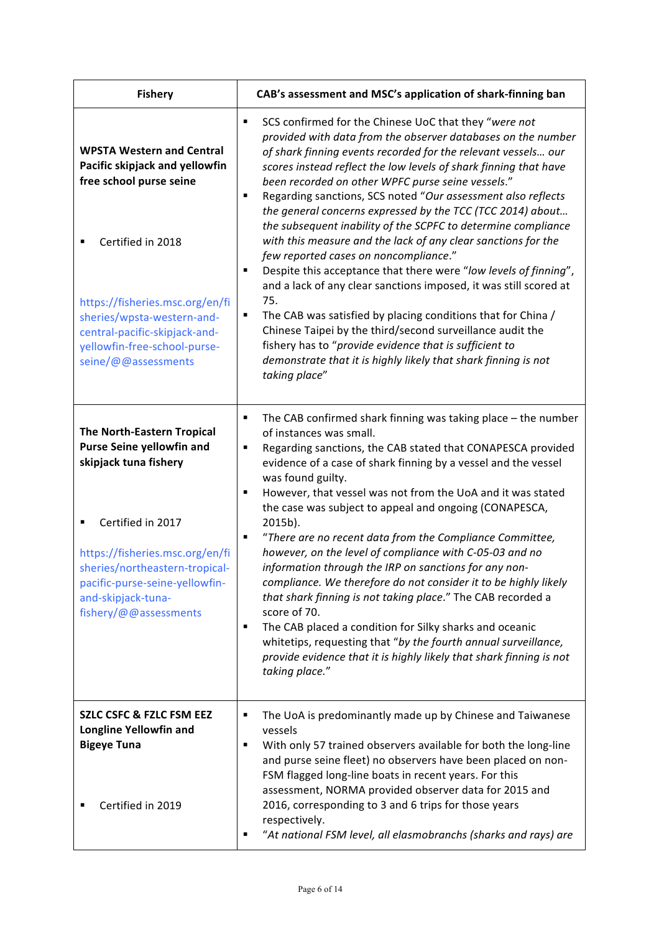| <b>Fishery</b>                                                                                                                                                                                                                                                              | CAB's assessment and MSC's application of shark-finning ban                                                                                                                                                                                                                                                                                                                                                                                                                                                                                                                                                                                                                                                                                                                                                                                                                                                                                                                                                                                                            |
|-----------------------------------------------------------------------------------------------------------------------------------------------------------------------------------------------------------------------------------------------------------------------------|------------------------------------------------------------------------------------------------------------------------------------------------------------------------------------------------------------------------------------------------------------------------------------------------------------------------------------------------------------------------------------------------------------------------------------------------------------------------------------------------------------------------------------------------------------------------------------------------------------------------------------------------------------------------------------------------------------------------------------------------------------------------------------------------------------------------------------------------------------------------------------------------------------------------------------------------------------------------------------------------------------------------------------------------------------------------|
| <b>WPSTA Western and Central</b><br>Pacific skipjack and yellowfin<br>free school purse seine<br>Certified in 2018<br>https://fisheries.msc.org/en/fi<br>sheries/wpsta-western-and-<br>central-pacific-skipjack-and-<br>yellowfin-free-school-purse-<br>seine/@@assessments | SCS confirmed for the Chinese UoC that they "were not<br>п<br>provided with data from the observer databases on the number<br>of shark finning events recorded for the relevant vessels our<br>scores instead reflect the low levels of shark finning that have<br>been recorded on other WPFC purse seine vessels."<br>Regarding sanctions, SCS noted "Our assessment also reflects<br>п<br>the general concerns expressed by the TCC (TCC 2014) about<br>the subsequent inability of the SCPFC to determine compliance<br>with this measure and the lack of any clear sanctions for the<br>few reported cases on noncompliance."<br>Despite this acceptance that there were "low levels of finning",<br>п<br>and a lack of any clear sanctions imposed, it was still scored at<br>75.<br>The CAB was satisfied by placing conditions that for China /<br>п<br>Chinese Taipei by the third/second surveillance audit the<br>fishery has to "provide evidence that is sufficient to<br>demonstrate that it is highly likely that shark finning is not<br>taking place" |
| <b>The North-Eastern Tropical</b><br><b>Purse Seine yellowfin and</b><br>skipjack tuna fishery<br>Certified in 2017<br>https://fisheries.msc.org/en/fi<br>sheries/northeastern-tropical-<br>pacific-purse-seine-yellowfin-<br>and-skipjack-tuna-<br>fishery/@@assessments   | The CAB confirmed shark finning was taking place $-$ the number<br>٠<br>of instances was small.<br>Regarding sanctions, the CAB stated that CONAPESCA provided<br>٠<br>evidence of a case of shark finning by a vessel and the vessel<br>was found guilty.<br>However, that vessel was not from the UoA and it was stated<br>٠<br>the case was subject to appeal and ongoing (CONAPESCA,<br>2015b).<br>"There are no recent data from the Compliance Committee,<br>٠<br>however, on the level of compliance with C-05-03 and no<br>information through the IRP on sanctions for any non-<br>compliance. We therefore do not consider it to be highly likely<br>that shark finning is not taking place." The CAB recorded a<br>score of 70.<br>The CAB placed a condition for Silky sharks and oceanic<br>٠<br>whitetips, requesting that "by the fourth annual surveillance,<br>provide evidence that it is highly likely that shark finning is not<br>taking place."                                                                                                  |
| <b>SZLC CSFC &amp; FZLC FSM EEZ</b><br><b>Longline Yellowfin and</b><br><b>Bigeye Tuna</b><br>Certified in 2019                                                                                                                                                             | The UoA is predominantly made up by Chinese and Taiwanese<br>п<br>vessels<br>With only 57 trained observers available for both the long-line<br>٠<br>and purse seine fleet) no observers have been placed on non-<br>FSM flagged long-line boats in recent years. For this<br>assessment, NORMA provided observer data for 2015 and<br>2016, corresponding to 3 and 6 trips for those years<br>respectively.<br>"At national FSM level, all elasmobranchs (sharks and rays) are                                                                                                                                                                                                                                                                                                                                                                                                                                                                                                                                                                                        |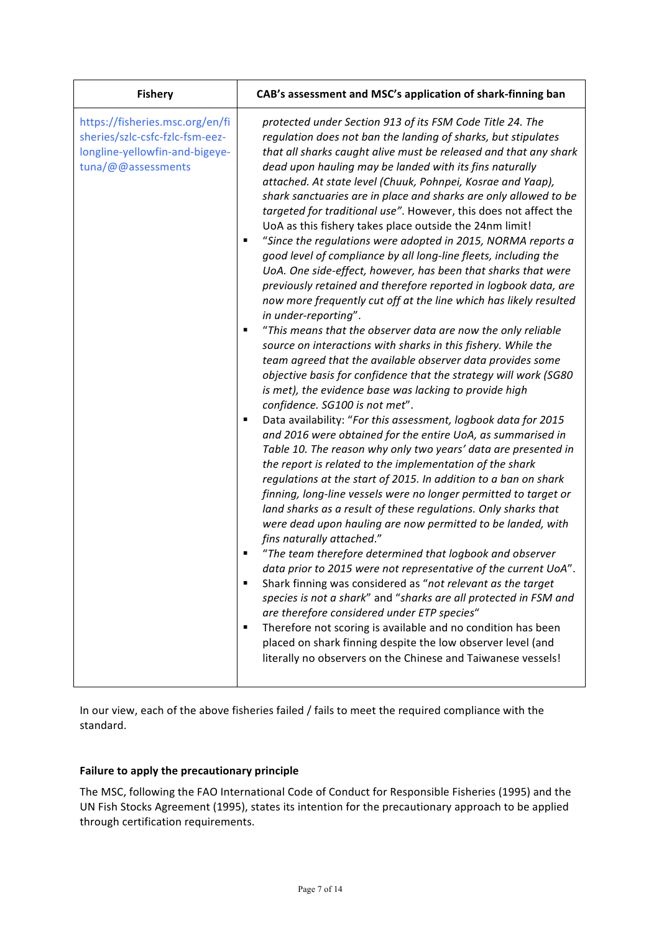| <b>Fishery</b>                                                                                                             | CAB's assessment and MSC's application of shark-finning ban                                                                                                                                                                                                                                                                                                                                                                                                                                                                                                                                                                                                                                                                                                                                                                                                                                                                                                                                                                                                                                                                                                                                                                                                                                                                                                                                                                                                                                                                                                                                                                                                                                                                                                                                                                                                                                                                                                                                                                                                                                                                                                                                                                                                                                                                                                       |
|----------------------------------------------------------------------------------------------------------------------------|-------------------------------------------------------------------------------------------------------------------------------------------------------------------------------------------------------------------------------------------------------------------------------------------------------------------------------------------------------------------------------------------------------------------------------------------------------------------------------------------------------------------------------------------------------------------------------------------------------------------------------------------------------------------------------------------------------------------------------------------------------------------------------------------------------------------------------------------------------------------------------------------------------------------------------------------------------------------------------------------------------------------------------------------------------------------------------------------------------------------------------------------------------------------------------------------------------------------------------------------------------------------------------------------------------------------------------------------------------------------------------------------------------------------------------------------------------------------------------------------------------------------------------------------------------------------------------------------------------------------------------------------------------------------------------------------------------------------------------------------------------------------------------------------------------------------------------------------------------------------------------------------------------------------------------------------------------------------------------------------------------------------------------------------------------------------------------------------------------------------------------------------------------------------------------------------------------------------------------------------------------------------------------------------------------------------------------------------------------------------|
| https://fisheries.msc.org/en/fi<br>sheries/szlc-csfc-fzlc-fsm-eez-<br>longline-yellowfin-and-bigeye-<br>tuna/@@assessments | protected under Section 913 of its FSM Code Title 24. The<br>regulation does not ban the landing of sharks, but stipulates<br>that all sharks caught alive must be released and that any shark<br>dead upon hauling may be landed with its fins naturally<br>attached. At state level (Chuuk, Pohnpei, Kosrae and Yaap),<br>shark sanctuaries are in place and sharks are only allowed to be<br>targeted for traditional use". However, this does not affect the<br>UoA as this fishery takes place outside the 24nm limit!<br>"Since the regulations were adopted in 2015, NORMA reports a<br>good level of compliance by all long-line fleets, including the<br>UoA. One side-effect, however, has been that sharks that were<br>previously retained and therefore reported in logbook data, are<br>now more frequently cut off at the line which has likely resulted<br>in under-reporting".<br>"This means that the observer data are now the only reliable<br>٠<br>source on interactions with sharks in this fishery. While the<br>team agreed that the available observer data provides some<br>objective basis for confidence that the strategy will work (SG80<br>is met), the evidence base was lacking to provide high<br>confidence. SG100 is not met".<br>Data availability: "For this assessment, logbook data for 2015<br>Е<br>and 2016 were obtained for the entire UoA, as summarised in<br>Table 10. The reason why only two years' data are presented in<br>the report is related to the implementation of the shark<br>regulations at the start of 2015. In addition to a ban on shark<br>finning, long-line vessels were no longer permitted to target or<br>land sharks as a result of these regulations. Only sharks that<br>were dead upon hauling are now permitted to be landed, with<br>fins naturally attached."<br>"The team therefore determined that logbook and observer<br>data prior to 2015 were not representative of the current UoA".<br>Shark finning was considered as "not relevant as the target<br>species is not a shark" and "sharks are all protected in FSM and<br>are therefore considered under ETP species"<br>Therefore not scoring is available and no condition has been<br>п<br>placed on shark finning despite the low observer level (and<br>literally no observers on the Chinese and Taiwanese vessels! |

In our view, each of the above fisheries failed / fails to meet the required compliance with the standard. 

# Failure to apply the precautionary principle

The MSC, following the FAO International Code of Conduct for Responsible Fisheries (1995) and the UN Fish Stocks Agreement (1995), states its intention for the precautionary approach to be applied through certification requirements.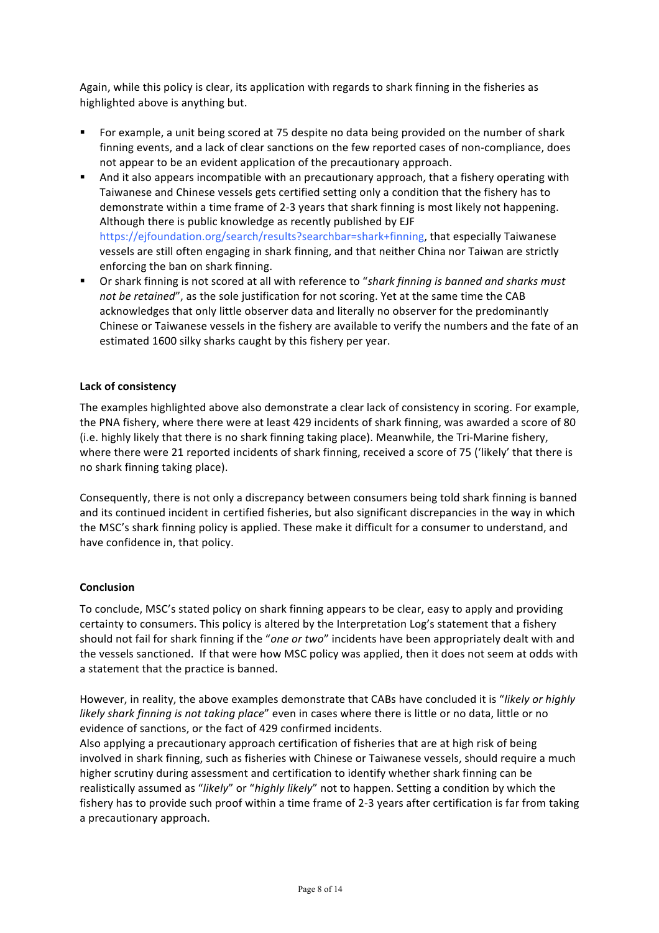Again, while this policy is clear, its application with regards to shark finning in the fisheries as highlighted above is anything but.

- For example, a unit being scored at 75 despite no data being provided on the number of shark finning events, and a lack of clear sanctions on the few reported cases of non-compliance, does not appear to be an evident application of the precautionary approach.
- **•** And it also appears incompatible with an precautionary approach, that a fishery operating with Taiwanese and Chinese vessels gets certified setting only a condition that the fishery has to demonstrate within a time frame of 2-3 years that shark finning is most likely not happening. Although there is public knowledge as recently published by EJF https://ejfoundation.org/search/results?searchbar=shark+finning, that especially Taiwanese vessels are still often engaging in shark finning, and that neither China nor Taiwan are strictly enforcing the ban on shark finning.
- **•** Or shark finning is not scored at all with reference to "shark finning is banned and sharks must *not be retained"*, as the sole justification for not scoring. Yet at the same time the CAB acknowledges that only little observer data and literally no observer for the predominantly Chinese or Taiwanese vessels in the fishery are available to verify the numbers and the fate of an estimated 1600 silky sharks caught by this fishery per year.

### **Lack of consistency**

The examples highlighted above also demonstrate a clear lack of consistency in scoring. For example, the PNA fishery, where there were at least 429 incidents of shark finning, was awarded a score of 80 (i.e. highly likely that there is no shark finning taking place). Meanwhile, the Tri-Marine fishery, where there were 21 reported incidents of shark finning, received a score of 75 ('likely' that there is no shark finning taking place).

Consequently, there is not only a discrepancy between consumers being told shark finning is banned and its continued incident in certified fisheries, but also significant discrepancies in the way in which the MSC's shark finning policy is applied. These make it difficult for a consumer to understand, and have confidence in, that policy.

#### **Conclusion**

To conclude, MSC's stated policy on shark finning appears to be clear, easy to apply and providing certainty to consumers. This policy is altered by the Interpretation Log's statement that a fishery should not fail for shark finning if the "one or two" incidents have been appropriately dealt with and the vessels sanctioned. If that were how MSC policy was applied, then it does not seem at odds with a statement that the practice is banned.

However, in reality, the above examples demonstrate that CABs have concluded it is "likely or highly *likely shark finning is not taking place*" even in cases where there is little or no data, little or no evidence of sanctions, or the fact of 429 confirmed incidents.

Also applying a precautionary approach certification of fisheries that are at high risk of being involved in shark finning, such as fisheries with Chinese or Taiwanese vessels, should require a much higher scrutiny during assessment and certification to identify whether shark finning can be realistically assumed as "*likely*" or "*highly likely*" not to happen. Setting a condition by which the fishery has to provide such proof within a time frame of 2-3 years after certification is far from taking a precautionary approach.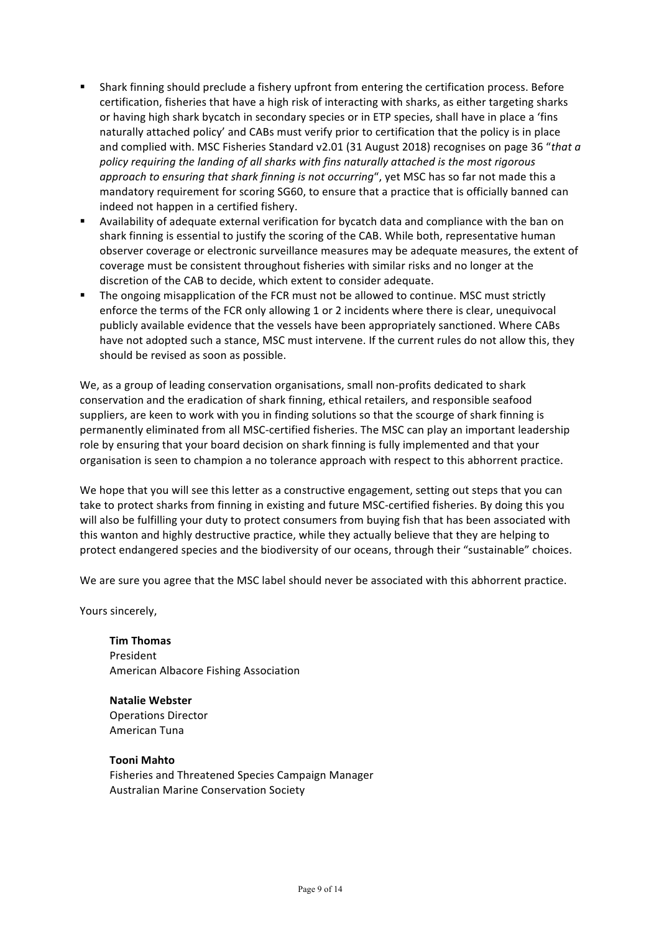- Shark finning should preclude a fishery upfront from entering the certification process. Before certification, fisheries that have a high risk of interacting with sharks, as either targeting sharks or having high shark bycatch in secondary species or in ETP species, shall have in place a 'fins naturally attached policy' and CABs must verify prior to certification that the policy is in place and complied with. MSC Fisheries Standard v2.01 (31 August 2018) recognises on page 36 "that a policy requiring the landing of all sharks with fins naturally attached is the most rigorous *approach to ensuring that shark finning is not occurring*", yet MSC has so far not made this a mandatory requirement for scoring SG60, to ensure that a practice that is officially banned can indeed not happen in a certified fishery.
- Availability of adequate external verification for bycatch data and compliance with the ban on shark finning is essential to justify the scoring of the CAB. While both, representative human observer coverage or electronic surveillance measures may be adequate measures, the extent of coverage must be consistent throughout fisheries with similar risks and no longer at the discretion of the CAB to decide, which extent to consider adequate.
- The ongoing misapplication of the FCR must not be allowed to continue. MSC must strictly enforce the terms of the FCR only allowing 1 or 2 incidents where there is clear, unequivocal publicly available evidence that the vessels have been appropriately sanctioned. Where CABs have not adopted such a stance, MSC must intervene. If the current rules do not allow this, they should be revised as soon as possible.

We, as a group of leading conservation organisations, small non-profits dedicated to shark conservation and the eradication of shark finning, ethical retailers, and responsible seafood suppliers, are keen to work with you in finding solutions so that the scourge of shark finning is permanently eliminated from all MSC-certified fisheries. The MSC can play an important leadership role by ensuring that your board decision on shark finning is fully implemented and that your organisation is seen to champion a no tolerance approach with respect to this abhorrent practice.

We hope that you will see this letter as a constructive engagement, setting out steps that you can take to protect sharks from finning in existing and future MSC-certified fisheries. By doing this you will also be fulfilling your duty to protect consumers from buying fish that has been associated with this wanton and highly destructive practice, while they actually believe that they are helping to protect endangered species and the biodiversity of our oceans, through their "sustainable" choices.

We are sure you agree that the MSC label should never be associated with this abhorrent practice.

Yours sincerely,

**Tim Thomas** President American Albacore Fishing Association

**Natalie Webster** Operations Director American Tuna

**Tooni Mahto** Fisheries and Threatened Species Campaign Manager Australian Marine Conservation Society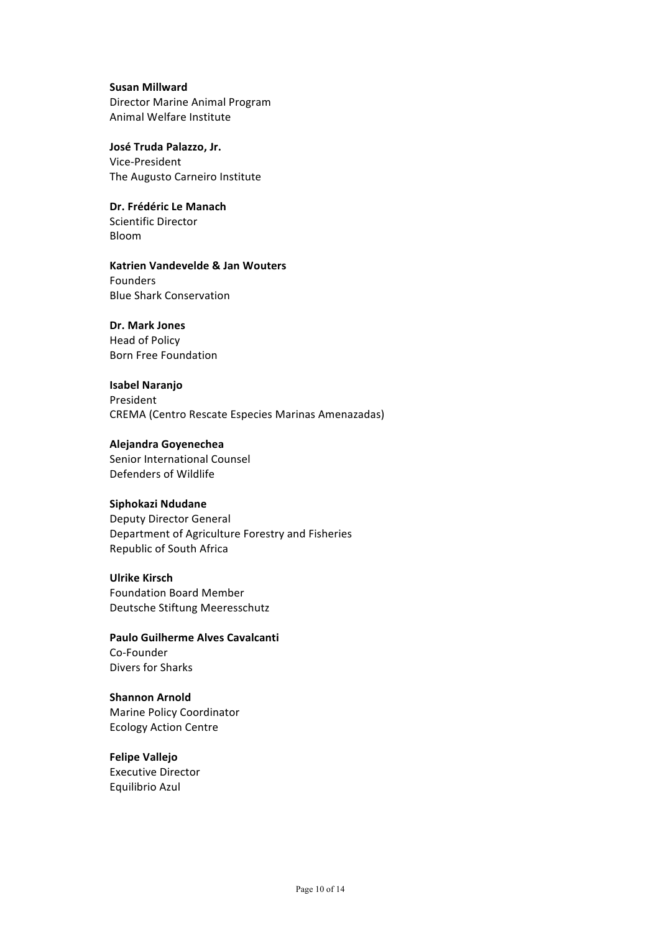## **Susan Millward** Director Marine Animal Program Animal Welfare Institute

**José Truda Palazzo, Jr.** Vice-President The Augusto Carneiro Institute

**Dr. Frédéric Le Manach** Scientific Director Bloom

### **Katrien Vandevelde & Jan Wouters**

Founders **Blue Shark Conservation** 

## **Dr. Mark Jones**

Head of Policy Born Free Foundation

### **Isabel Naranjo**

President CREMA (Centro Rescate Especies Marinas Amenazadas)

### **Alejandra Goyenechea**

Senior International Counsel Defenders of Wildlife

### **Siphokazi Ndudane**

Deputy Director General Department of Agriculture Forestry and Fisheries Republic of South Africa

### **Ulrike Kirsch**

Foundation Board Member Deutsche Stiftung Meeresschutz

**Paulo Guilherme Alves Cavalcanti** Co-Founder Divers for Sharks

**Shannon Arnold** Marine Policy Coordinator Ecology Action Centre

# **Felipe Vallejo**

Executive Director Equilibrio Azul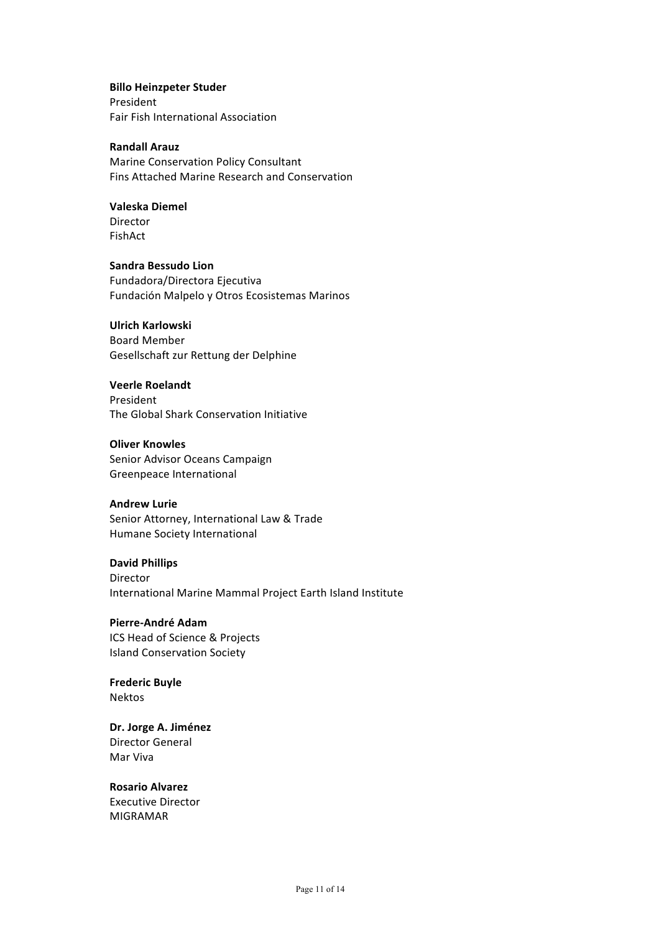### **Billo Heinzpeter Studer**

President Fair Fish International Association

### **Randall Arauz**

Marine Conservation Policy Consultant Fins Attached Marine Research and Conservation

## **Valeska Diemel**

Director FishAct

# **Sandra Bessudo Lion**

Fundadora/Directora Ejecutiva Fundación Malpelo y Otros Ecosistemas Marinos

## **Ulrich Karlowski**

Board Member Gesellschaft zur Rettung der Delphine

### **Veerle Roelandt**

President The Global Shark Conservation Initiative

### **Oliver Knowles**

Senior Advisor Oceans Campaign Greenpeace International

#### **Andrew Lurie**

Senior Attorney, International Law & Trade Humane Society International

# **David Phillips**

Director International Marine Mammal Project Earth Island Institute

## **Pierre-André Adam** ICS Head of Science & Projects Island Conservation Society

**Frederic Buyle** Nektos

### Dr. Jorge A. Jiménez Director General Mar Viva

# **Rosario Alvarez**

Executive Director MIGRAMAR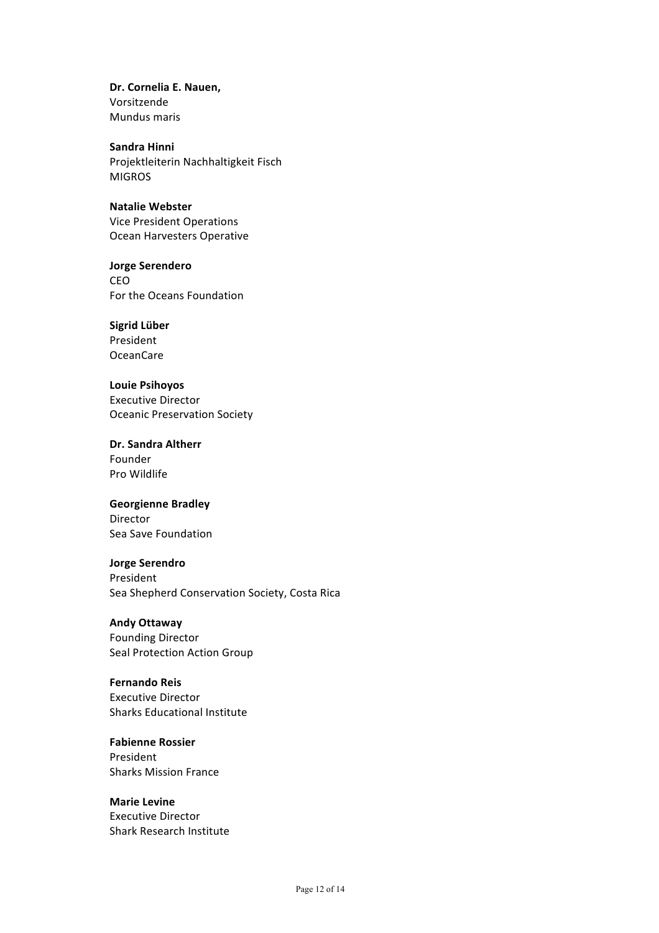Dr. Cornelia E. Nauen, Vorsitzende Mundus maris

**Sandra Hinni** Projektleiterin Nachhaltigkeit Fisch MIGROS

**Natalie Webster** Vice President Operations Ocean Harvesters Operative

**Jorge Serendero** CEO For the Oceans Foundation

**Sigrid Lüber** President OceanCare

**Louie Psihoyos** Executive Director Oceanic Preservation Society

**Dr. Sandra Altherr** Founder Pro Wildlife

**Georgienne Bradley** Director Sea Save Foundation

**Jorge Serendro** President Sea Shepherd Conservation Society, Costa Rica

**Andy Ottaway** Founding Director Seal Protection Action Group

**Fernando Reis** Executive Director Sharks Educational Institute

**Fabienne Rossier** President Sharks Mission France

**Marie Levine** Executive Director Shark Research Institute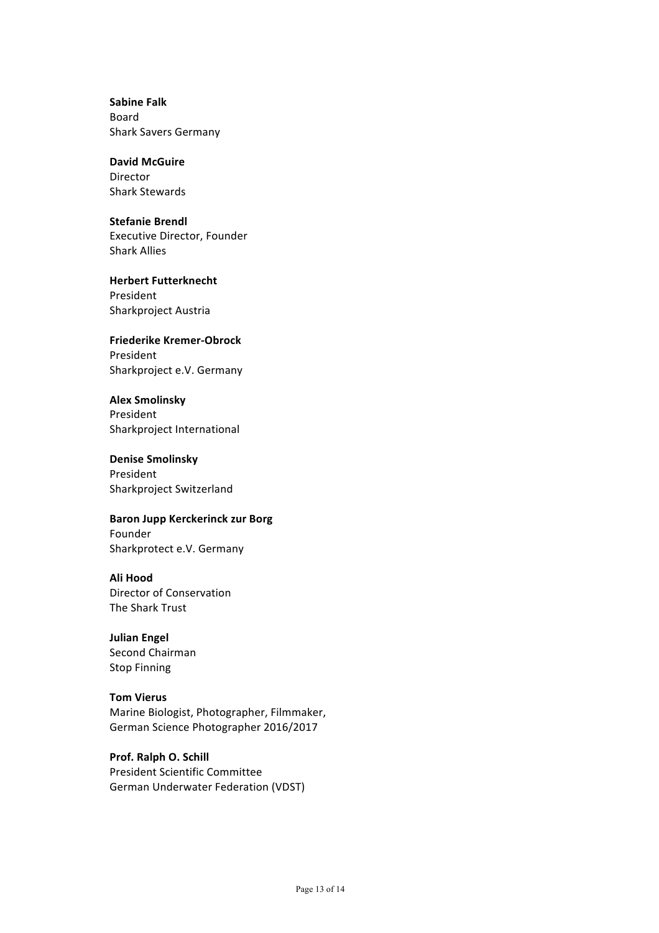**Sabine Falk** Board Shark Savers Germany

# **David McGuire**

Director Shark Stewards

### **Stefanie Brendl**

Executive Director, Founder Shark Allies

**Herbert Futterknecht** President Sharkproject Austria

# **Friederike Kremer-Obrock**

President Sharkproject e.V. Germany

# **Alex Smolinsky**

President Sharkproject International

## **Denise Smolinsky**

President Sharkproject Switzerland

### **Baron Jupp Kerckerinck zur Borg**

Founder Sharkprotect e.V. Germany

### **Ali Hood**

Director of Conservation The Shark Trust

# **Julian Engel**

Second Chairman **Stop Finning** 

# **Tom Vierus**

Marine Biologist, Photographer, Filmmaker, German Science Photographer 2016/2017

# **Prof. Ralph O. Schill**

President Scientific Committee German Underwater Federation (VDST)